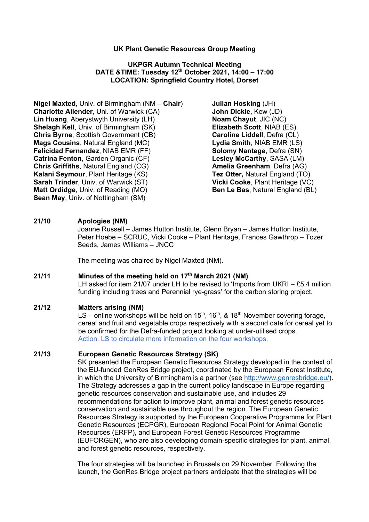#### **UK Plant Genetic Resources Group Meeting**

### **UKPGR Autumn Technical Meeting DATE &TIME: Tuesday 12th October 2021, 14:00 – 17:00 LOCATION: Springfield Country Hotel, Dorset**

**Nigel Maxted**, Univ. of Birmingham (NM – **Chair**) **Julian Hosking** (JH) **Charlotte Allender**, Uni. of Warwick (CA) **John Dickie**, Kew (JD) **Lin Huang**, Aberystwyth University (LH) **Noam Chayut**, JIC (NC) **Shelagh Kell**, Univ. of Birmingham (SK) **Elizabeth Scott**, NIAB (ES) **Chris Byrne**, Scottish Government (CB) **Caroline Liddell**, Defra (CL) **Mags Cousins**, Natural England (MC) **Lydia Smith**, NIAB EMR (LS) **Felicidad Fernandez**, NIAB EMR (FF) **Solomy Nantege**, Defra (SN) **Catrina Fenton**, Garden Organic (CF) **Lesley McCarthy**, SASA (LM) **Chris Griffiths**, Natural England (CG) **Amelia Greenham**, Defra (AG) **Kalani Seymour**, Plant Heritage (KS) **Tez Otter,** Natural England (TO) **Sarah Trinder**, Univ. of Warwick (ST) **Vicki Cooke**, Plant Heritage (VC) **Matt Ordidge**, Univ. of Reading (MO) **Ben Le Bas**, Natural England (BL) **Sean May**, Univ. of Nottingham (SM)

# **21/10 Apologies (NM)**

Joanne Russell – James Hutton Institute, Glenn Bryan – James Hutton Institute, Peter Hoebe – SCRUC, Vicki Cooke – Plant Heritage, Frances Gawthrop – Tozer Seeds, James Williams – JNCC

The meeting was chaired by Nigel Maxted (NM).

# **21/11 Minutes of the meeting held on 17th March 2021 (NM)**

LH asked for item 21/07 under LH to be revised to 'Imports from UKRI – £5.4 million funding including trees and Perennial rye-grass' for the carbon storing project.

#### **21/12 Matters arising (NM)**

LS – online workshops will be held on  $15^{th}$ ,  $16^{th}$ , &  $18^{th}$  November covering forage, cereal and fruit and vegetable crops respectively with a second date for cereal yet to be confirmed for the Defra-funded project looking at under-utilised crops. Action: LS to circulate more information on the four workshops.

### **21/13 European Genetic Resources Strategy (SK)**

SK presented the European Genetic Resources Strategy developed in the context of the EU-funded GenRes Bridge project, coordinated by the European Forest Institute, in which the University of Birmingham is a partner (see http://www.genresbridge.eu/). The Strategy addresses a gap in the current policy landscape in Europe regarding genetic resources conservation and sustainable use, and includes 29 recommendations for action to improve plant, animal and forest genetic resources conservation and sustainable use throughout the region. The European Genetic Resources Strategy is supported by the European Cooperative Programme for Plant Genetic Resources (ECPGR), European Regional Focal Point for Animal Genetic Resources (ERFP), and European Forest Genetic Resources Programme (EUFORGEN), who are also developing domain-specific strategies for plant, animal, and forest genetic resources, respectively.

The four strategies will be launched in Brussels on 29 November. Following the launch, the GenRes Bridge project partners anticipate that the strategies will be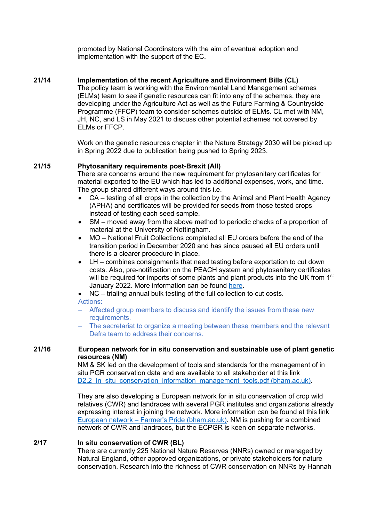promoted by National Coordinators with the aim of eventual adoption and implementation with the support of the EC.

## **21/14 Implementation of the recent Agriculture and Environment Bills (CL)**

The policy team is working with the Environmental Land Management schemes (ELMs) team to see if genetic resources can fit into any of the schemes, they are developing under the Agriculture Act as well as the Future Farming & Countryside Programme (FFCP) team to consider schemes outside of ELMs. CL met with NM, JH, NC, and LS in May 2021 to discuss other potential schemes not covered by ELMs or FFCP.

Work on the genetic resources chapter in the Nature Strategy 2030 will be picked up in Spring 2022 due to publication being pushed to Spring 2023.

### **21/15 Phytosanitary requirements post-Brexit (All)**

There are concerns around the new requirement for phytosanitary certificates for material exported to the EU which has led to additional expenses, work, and time. The group shared different ways around this i.e.

- CA testing of all crops in the collection by the Animal and Plant Health Agency (APHA) and certificates will be provided for seeds from those tested crops instead of testing each seed sample.
- SM moved away from the above method to periodic checks of a proportion of material at the University of Nottingham.
- MO National Fruit Collections completed all EU orders before the end of the transition period in December 2020 and has since paused all EU orders until there is a clearer procedure in place.
- LH combines consignments that need testing before exportation to cut down costs. Also, pre-notification on the PEACH system and phytosanitary certificates will be required for imports of some plants and plant products into the UK from 1<sup>st</sup> January 2022. More information can be found here.
- NC trialing annual bulk testing of the full collection to cut costs.

Actions:

- Affected group members to discuss and identify the issues from these new requirements.
- The secretariat to organize a meeting between these members and the relevant Defra team to address their concerns.

## **21/16 European network for in situ conservation and sustainable use of plant genetic resources (NM)**

NM & SK led on the development of tools and standards for the management of in situ PGR conservation data and are available to all stakeholder at this link D2.2 In situ conservation information management tools.pdf (bham.ac.uk).

They are also developing a European network for in situ conservation of crop wild relatives (CWR) and landraces with several PGR institutes and organizations already expressing interest in joining the network. More information can be found at this link European network – Farmer's Pride (bham.ac.uk). NM is pushing for a combined network of CWR and landraces, but the ECPGR is keen on separate networks.

## **2/17 In situ conservation of CWR (BL)**

There are currently 225 National Nature Reserves (NNRs) owned or managed by Natural England, other approved organizations, or private stakeholders for nature conservation. Research into the richness of CWR conservation on NNRs by Hannah